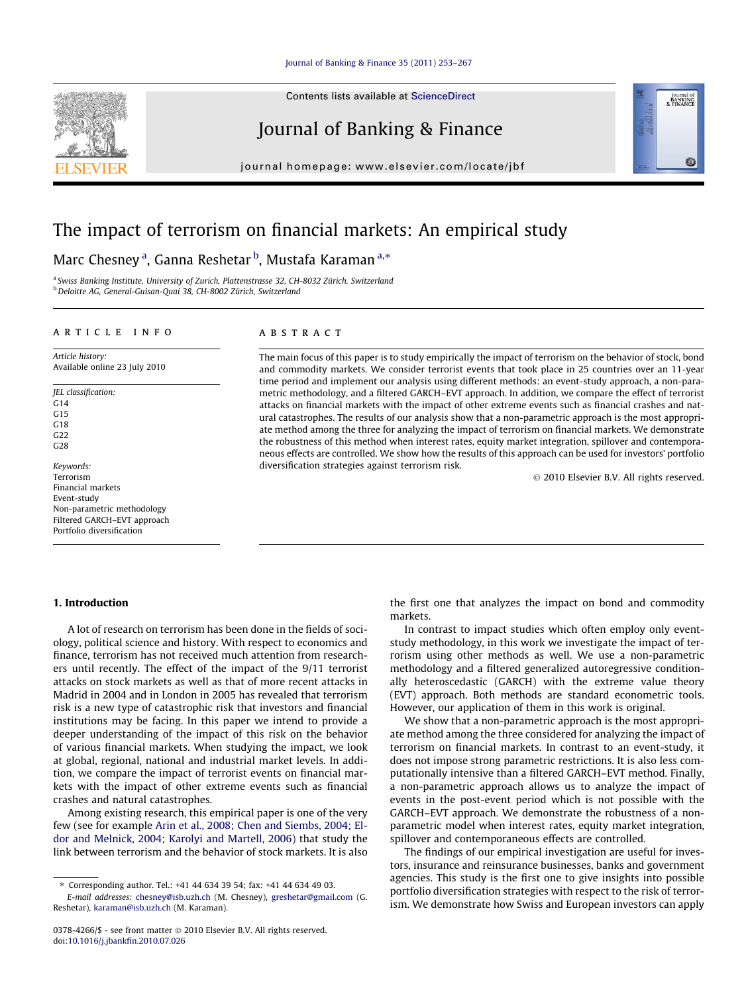#### [Journal of Banking & Finance 35 \(2011\) 253–267](http://dx.doi.org/10.1016/j.jbankfin.2010.07.026)

Contents lists available at [ScienceDirect](http://www.sciencedirect.com/science/journal/03784266)

## Journal of Banking & Finance

journal homepage: [www.elsevier.com/locate/jbf](http://www.elsevier.com/locate/jbf)

# The impact of terrorism on financial markets: An empirical study

### Marc Chesney <sup>a</sup>, Ganna Reshetar <sup>b</sup>, Mustafa Karaman <sup>a,</sup>\*

a Swiss Banking Institute, University of Zurich, Plattenstrasse 32, CH-8032 Zürich, Switzerland <sup>b</sup> Deloitte AG, General-Guisan-Quai 38, CH-8002 Zürich, Switzerland

#### article info

Article history: Available online 23 July 2010

JEL classification: G14  $G15$ G18  $C22$ G28

Keywords: Terrorism Financial markets Event-study Non-parametric methodology Filtered GARCH–EVT approach Portfolio diversification

#### 1. Introduction

A lot of research on terrorism has been done in the fields of sociology, political science and history. With respect to economics and finance, terrorism has not received much attention from researchers until recently. The effect of the impact of the 9/11 terrorist attacks on stock markets as well as that of more recent attacks in Madrid in 2004 and in London in 2005 has revealed that terrorism risk is a new type of catastrophic risk that investors and financial institutions may be facing. In this paper we intend to provide a deeper understanding of the impact of this risk on the behavior of various financial markets. When studying the impact, we look at global, regional, national and industrial market levels. In addition, we compare the impact of terrorist events on financial markets with the impact of other extreme events such as financial crashes and natural catastrophes.

Among existing research, this empirical paper is one of the very few (see for example [Arin et al., 2008; Chen and Siembs, 2004; El](#page--1-0)[dor and Melnick, 2004; Karolyi and Martell, 2006](#page--1-0)) that study the link between terrorism and the behavior of stock markets. It is also

#### **ABSTRACT**

The main focus of this paper is to study empirically the impact of terrorism on the behavior of stock, bond and commodity markets. We consider terrorist events that took place in 25 countries over an 11-year time period and implement our analysis using different methods: an event-study approach, a non-parametric methodology, and a filtered GARCH–EVT approach. In addition, we compare the effect of terrorist attacks on financial markets with the impact of other extreme events such as financial crashes and natural catastrophes. The results of our analysis show that a non-parametric approach is the most appropriate method among the three for analyzing the impact of terrorism on financial markets. We demonstrate the robustness of this method when interest rates, equity market integration, spillover and contemporaneous effects are controlled. We show how the results of this approach can be used for investors' portfolio diversification strategies against terrorism risk.

- 2010 Elsevier B.V. All rights reserved.

Journal of<br>BANKING<br>& FINANCE

the first one that analyzes the impact on bond and commodity markets.

In contrast to impact studies which often employ only eventstudy methodology, in this work we investigate the impact of terrorism using other methods as well. We use a non-parametric methodology and a filtered generalized autoregressive conditionally heteroscedastic (GARCH) with the extreme value theory (EVT) approach. Both methods are standard econometric tools. However, our application of them in this work is original.

We show that a non-parametric approach is the most appropriate method among the three considered for analyzing the impact of terrorism on financial markets. In contrast to an event-study, it does not impose strong parametric restrictions. It is also less computationally intensive than a filtered GARCH–EVT method. Finally, a non-parametric approach allows us to analyze the impact of events in the post-event period which is not possible with the GARCH–EVT approach. We demonstrate the robustness of a nonparametric model when interest rates, equity market integration, spillover and contemporaneous effects are controlled.

The findings of our empirical investigation are useful for investors, insurance and reinsurance businesses, banks and government agencies. This study is the first one to give insights into possible portfolio diversification strategies with respect to the risk of terrorism. We demonstrate how Swiss and European investors can apply



<sup>⇑</sup> Corresponding author. Tel.: +41 44 634 39 54; fax: +41 44 634 49 03.

E-mail addresses: [chesney@isb.uzh.ch](mailto:chesney@isb.uzh.ch) (M. Chesney), [greshetar@gmail.com](mailto:greshetar@gmail.com) (G. Reshetar), [karaman@isb.uzh.ch](mailto:karaman@isb.uzh.ch) (M. Karaman).

<sup>0378-4266/\$ -</sup> see front matter © 2010 Elsevier B.V. All rights reserved. doi[:10.1016/j.jbankfin.2010.07.026](http://dx.doi.org/10.1016/j.jbankfin.2010.07.026)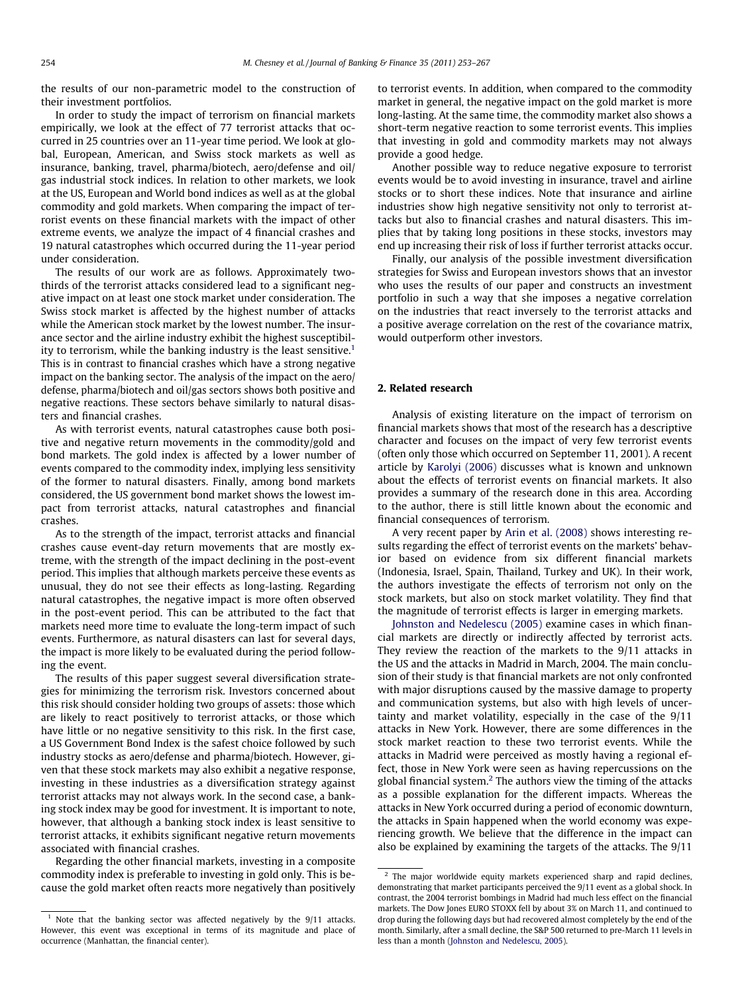the results of our non-parametric model to the construction of their investment portfolios.

In order to study the impact of terrorism on financial markets empirically, we look at the effect of 77 terrorist attacks that occurred in 25 countries over an 11-year time period. We look at global, European, American, and Swiss stock markets as well as insurance, banking, travel, pharma/biotech, aero/defense and oil/ gas industrial stock indices. In relation to other markets, we look at the US, European and World bond indices as well as at the global commodity and gold markets. When comparing the impact of terrorist events on these financial markets with the impact of other extreme events, we analyze the impact of 4 financial crashes and 19 natural catastrophes which occurred during the 11-year period under consideration.

The results of our work are as follows. Approximately twothirds of the terrorist attacks considered lead to a significant negative impact on at least one stock market under consideration. The Swiss stock market is affected by the highest number of attacks while the American stock market by the lowest number. The insurance sector and the airline industry exhibit the highest susceptibility to terrorism, while the banking industry is the least sensitive.<sup>1</sup> This is in contrast to financial crashes which have a strong negative impact on the banking sector. The analysis of the impact on the aero/ defense, pharma/biotech and oil/gas sectors shows both positive and negative reactions. These sectors behave similarly to natural disasters and financial crashes.

As with terrorist events, natural catastrophes cause both positive and negative return movements in the commodity/gold and bond markets. The gold index is affected by a lower number of events compared to the commodity index, implying less sensitivity of the former to natural disasters. Finally, among bond markets considered, the US government bond market shows the lowest impact from terrorist attacks, natural catastrophes and financial crashes.

As to the strength of the impact, terrorist attacks and financial crashes cause event-day return movements that are mostly extreme, with the strength of the impact declining in the post-event period. This implies that although markets perceive these events as unusual, they do not see their effects as long-lasting. Regarding natural catastrophes, the negative impact is more often observed in the post-event period. This can be attributed to the fact that markets need more time to evaluate the long-term impact of such events. Furthermore, as natural disasters can last for several days, the impact is more likely to be evaluated during the period following the event.

The results of this paper suggest several diversification strategies for minimizing the terrorism risk. Investors concerned about this risk should consider holding two groups of assets: those which are likely to react positively to terrorist attacks, or those which have little or no negative sensitivity to this risk. In the first case, a US Government Bond Index is the safest choice followed by such industry stocks as aero/defense and pharma/biotech. However, given that these stock markets may also exhibit a negative response, investing in these industries as a diversification strategy against terrorist attacks may not always work. In the second case, a banking stock index may be good for investment. It is important to note, however, that although a banking stock index is least sensitive to terrorist attacks, it exhibits significant negative return movements associated with financial crashes.

Regarding the other financial markets, investing in a composite commodity index is preferable to investing in gold only. This is because the gold market often reacts more negatively than positively

to terrorist events. In addition, when compared to the commodity market in general, the negative impact on the gold market is more long-lasting. At the same time, the commodity market also shows a short-term negative reaction to some terrorist events. This implies that investing in gold and commodity markets may not always provide a good hedge.

Another possible way to reduce negative exposure to terrorist events would be to avoid investing in insurance, travel and airline stocks or to short these indices. Note that insurance and airline industries show high negative sensitivity not only to terrorist attacks but also to financial crashes and natural disasters. This implies that by taking long positions in these stocks, investors may end up increasing their risk of loss if further terrorist attacks occur.

Finally, our analysis of the possible investment diversification strategies for Swiss and European investors shows that an investor who uses the results of our paper and constructs an investment portfolio in such a way that she imposes a negative correlation on the industries that react inversely to the terrorist attacks and a positive average correlation on the rest of the covariance matrix, would outperform other investors.

#### 2. Related research

Analysis of existing literature on the impact of terrorism on financial markets shows that most of the research has a descriptive character and focuses on the impact of very few terrorist events (often only those which occurred on September 11, 2001). A recent article by [Karolyi \(2006\)](#page--1-0) discusses what is known and unknown about the effects of terrorist events on financial markets. It also provides a summary of the research done in this area. According to the author, there is still little known about the economic and financial consequences of terrorism.

A very recent paper by [Arin et al. \(2008\)](#page--1-0) shows interesting results regarding the effect of terrorist events on the markets' behavior based on evidence from six different financial markets (Indonesia, Israel, Spain, Thailand, Turkey and UK). In their work, the authors investigate the effects of terrorism not only on the stock markets, but also on stock market volatility. They find that the magnitude of terrorist effects is larger in emerging markets.

[Johnston and Nedelescu \(2005\)](#page--1-0) examine cases in which financial markets are directly or indirectly affected by terrorist acts. They review the reaction of the markets to the 9/11 attacks in the US and the attacks in Madrid in March, 2004. The main conclusion of their study is that financial markets are not only confronted with major disruptions caused by the massive damage to property and communication systems, but also with high levels of uncertainty and market volatility, especially in the case of the 9/11 attacks in New York. However, there are some differences in the stock market reaction to these two terrorist events. While the attacks in Madrid were perceived as mostly having a regional effect, those in New York were seen as having repercussions on the global financial system. $<sup>2</sup>$  The authors view the timing of the attacks</sup> as a possible explanation for the different impacts. Whereas the attacks in New York occurred during a period of economic downturn, the attacks in Spain happened when the world economy was experiencing growth. We believe that the difference in the impact can also be explained by examining the targets of the attacks. The 9/11

 $1$  Note that the banking sector was affected negatively by the  $9/11$  attacks. However, this event was exceptional in terms of its magnitude and place of occurrence (Manhattan, the financial center).

<sup>&</sup>lt;sup>2</sup> The major worldwide equity markets experienced sharp and rapid declines, demonstrating that market participants perceived the 9/11 event as a global shock. In contrast, the 2004 terrorist bombings in Madrid had much less effect on the financial markets. The Dow Jones EURO STOXX fell by about 3% on March 11, and continued to drop during the following days but had recovered almost completely by the end of the month. Similarly, after a small decline, the S&P 500 returned to pre-March 11 levels in less than a month ([Johnston and Nedelescu, 2005\)](#page--1-0).